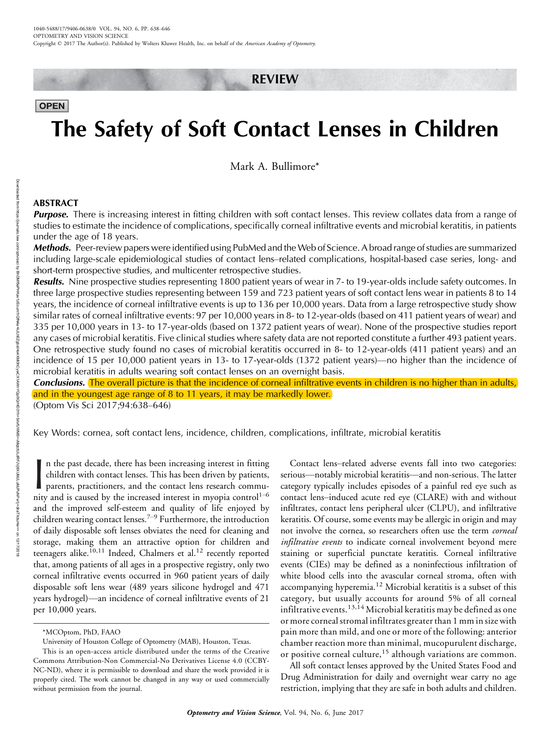# REVIEW

# **OPEN**

# The Safety of Soft Contact Lenses in Children

Mark A. Bullimore\*

# ABSTRACT

Downloaded from

https://journals.lww.com/optvissci

হ

**Purpose.** There is increasing interest in fitting children with soft contact lenses. This review collates data from a range of studies to estimate the incidence of complications, specifically corneal infiltrative events and microbial keratitis, in patients under the age of 18 years.

Methods. Peer-review papers were identified using PubMed and the Web of Science. A broad range of studies are summarized including large-scale epidemiological studies of contact lens-related complications, hospital-based case series, long- and short-term prospective studies, and multicenter retrospective studies.

**Results.** Nine prospective studies representing 1800 patient years of wear in 7- to 19-year-olds include safety outcomes. In three large prospective studies representing between 159 and 723 patient years of soft contact lens wear in patients 8 to 14 years, the incidence of corneal infiltrative events is up to 136 per 10,000 years. Data from a large retrospective study show similar rates of corneal infiltrative events: 97 per 10,000 years in 8- to 12-year-olds (based on 411 patient years of wear) and 335 per 10,000 years in 13- to 17-year-olds (based on 1372 patient years of wear). None of the prospective studies report any cases of microbial keratitis. Five clinical studies where safety data are not reported constitute a further 493 patient years. One retrospective study found no cases of microbial keratitis occurred in 8- to 12-year-olds (411 patient years) and an incidence of 15 per 10,000 patient years in 13- to 17-year-olds (1372 patient years)—no higher than the incidence of microbial keratitis in adults wearing soft contact lenses on an overnight basis.

Conclusions. The overall picture is that the incidence of corneal infiltrative events in children is no higher than in adults, and in the youngest age range of 8 to 11 years, it may be markedly lower.

(Optom Vis Sci 2017;94:638-646)

Key Words: cornea, soft contact lens, incidence, children, complications, infiltrate, microbial keratitis

In the past decade, there has been increasing interest in fitting children with contact lenses. This has been driven by patients, parents, practitioners, and the contact lens research community and is caused by the increas n the past decade, there has been increasing interest in fitting children with contact lenses. This has been driven by patients, parents, practitioners, and the contact lens research commuand the improved self-esteem and quality of life enjoyed by children wearing contact lenses.<sup> $7-9$ </sup> Furthermore, the introduction of daily disposable soft lenses obviates the need for cleaning and storage, making them an attractive option for children and teenagers alike.<sup>10,11</sup> Indeed, Chalmers et al.<sup>12</sup> recently reported that, among patients of all ages in a prospective registry, only two corneal infiltrative events occurred in 960 patient years of daily disposable soft lens wear (489 years silicone hydrogel and 471 years hydrogel)—an incidence of corneal infiltrative events of 21 per 10,000 years.

Contact lens-related adverse events fall into two categories: serious—notably microbial keratitis—and non-serious. The latter category typically includes episodes of a painful red eye such as contact lens-induced acute red eye (CLARE) with and without infiltrates, contact lens peripheral ulcer (CLPU), and infiltrative keratitis. Of course, some events may be allergic in origin and may not involve the cornea, so researchers often use the term corneal infiltrative events to indicate corneal involvement beyond mere staining or superficial punctate keratitis. Corneal infiltrative events (CIEs) may be defined as a noninfectious infiltration of white blood cells into the avascular corneal stroma, often with accompanying hyperemia.<sup>12</sup> Microbial keratitis is a subset of this category, but usually accounts for around 5% of all corneal infiltrative events.<sup>13,14</sup> Microbial keratitis may be defined as one or more corneal stromal infiltrates greater than 1 mm in size with pain more than mild, and one or more of the following: anterior chamber reaction more than minimal, mucopurulent discharge, or positive corneal culture,<sup>15</sup> although variations are common.

All soft contact lenses approved by the United States Food and Drug Administration for daily and overnight wear carry no age restriction, implying that they are safe in both adults and children.

<sup>\*</sup>MCOptom, PhD, FAAO

University of Houston College of Optometry (MAB), Houston, Texas.

This is an open-access article distributed under the terms of the [Creative](http://) [Commons Attribution-Non Commercial-No Derivatives License 4.0 \(CCBY-](http://)[NC-ND\),](http://) where it is permissible to download and share the work provided it is properly cited. The work cannot be changed in any way or used commercially without permission from the journal.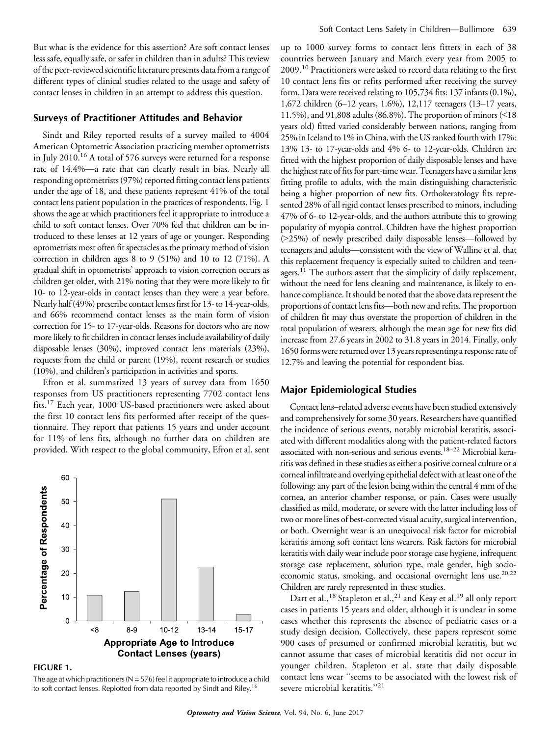But what is the evidence for this assertion? Are soft contact lenses less safe, equally safe, or safer in children than in adults? This review of the peer-reviewed scientific literature presents data from a range of different types of clinical studies related to the usage and safety of contact lenses in children in an attempt to address this question.

# Surveys of Practitioner Attitudes and Behavior

Sindt and Riley reported results of a survey mailed to 4004 American Optometric Association practicing member optometrists in July 2010.<sup>16</sup> A total of 576 surveys were returned for a response rate of 14.4%-a rate that can clearly result in bias. Nearly all responding optometrists (97%) reported fitting contact lens patients under the age of 18, and these patients represent 41% of the total contact lens patient population in the practices of respondents. Fig. 1 shows the age at which practitioners feel it appropriate to introduce a child to soft contact lenses. Over 70% feel that children can be introduced to these lenses at 12 years of age or younger. Responding optometrists most often fit spectacles as the primary method of vision correction in children ages 8 to 9 (51%) and 10 to 12 (71%). A gradual shift in optometrists' approach to vision correction occurs as children get older, with 21% noting that they were more likely to fit 10- to 12-year-olds in contact lenses than they were a year before. Nearly half (49%) prescribe contact lenses first for 13- to 14-year-olds, and 66% recommend contact lenses as the main form of vision correction for 15- to 17-year-olds. Reasons for doctors who are now more likely to fit children in contact lenses include availability of daily disposable lenses (30%), improved contact lens materials (23%), requests from the child or parent (19%), recent research or studies (10%), and children's participation in activities and sports.

Efron et al. summarized 13 years of survey data from 1650 responses from US practitioners representing 7702 contact lens fits.<sup>17</sup> Each year, 1000 US-based practitioners were asked about the first 10 contact lens fits performed after receipt of the questionnaire. They report that patients 15 years and under account for 11% of lens fits, although no further data on children are provided. With respect to the global community, Efron et al. sent



FIGURE 1.

The age at which practitioners ( $N = 576$ ) feel it appropriate to introduce a child to soft contact lenses. Replotted from data reported by Sindt and Riley.<sup>16</sup>

up to 1000 survey forms to contact lens fitters in each of 38 countries between January and March every year from 2005 to 2009.<sup>10</sup> Practitioners were asked to record data relating to the first 10 contact lens fits or refits performed after receiving the survey form. Data were received relating to 105,734 fits: 137 infants (0.1%), 1,672 children (6-12 years, 1.6%), 12,117 teenagers (13-17 years, 11.5%), and 91,808 adults (86.8%). The proportion of minors  $\leq 18$ years old) fitted varied considerably between nations, ranging from 25% in Iceland to 1% in China, with the US ranked fourth with 17%: 13% 13- to 17-year-olds and 4% 6- to 12-year-olds. Children are fitted with the highest proportion of daily disposable lenses and have the highest rate of fits for part-time wear. Teenagers have a similar lens fitting profile to adults, with the main distinguishing characteristic being a higher proportion of new fits. Orthokeratology fits represented 28% of all rigid contact lenses prescribed to minors, including 47% of 6- to 12-year-olds, and the authors attribute this to growing popularity of myopia control. Children have the highest proportion  $(>=25%)$  of newly prescribed daily disposable lenses—followed by teenagers and adults-consistent with the view of Walline et al. that this replacement frequency is especially suited to children and teenagers.<sup>11</sup> The authors assert that the simplicity of daily replacement, without the need for lens cleaning and maintenance, is likely to enhance compliance. It should be noted that the above data represent the proportions of contact lens fits-both new and refits. The proportion of children fit may thus overstate the proportion of children in the total population of wearers, although the mean age for new fits did increase from 27.6 years in 2002 to 31.8 years in 2014. Finally, only 1650 forms were returned over 13 years representing a response rate of 12.7% and leaving the potential for respondent bias.

# Major Epidemiological Studies

Contact lens-related adverse events have been studied extensively and comprehensively for some 30 years. Researchers have quantified the incidence of serious events, notably microbial keratitis, associated with different modalities along with the patient-related factors associated with non-serious and serious events.<sup>18-22</sup> Microbial keratitis was defined in these studies as either a positive corneal culture or a corneal infiltrate and overlying epithelial defect with at least one of the following: any part of the lesion being within the central 4 mm of the cornea, an anterior chamber response, or pain. Cases were usually classified as mild, moderate, or severe with the latter including loss of two or more lines of best-corrected visual acuity, surgical intervention, or both. Overnight wear is an unequivocal risk factor for microbial keratitis among soft contact lens wearers. Risk factors for microbial keratitis with daily wear include poor storage case hygiene, infrequent storage case replacement, solution type, male gender, high socioeconomic status, smoking, and occasional overnight lens use.<sup>20,22</sup> Children are rarely represented in these studies.

Dart et al.,<sup>18</sup> Stapleton et al.,<sup>21</sup> and Keay et al.<sup>19</sup> all only report cases in patients 15 years and older, although it is unclear in some cases whether this represents the absence of pediatric cases or a study design decision. Collectively, these papers represent some 900 cases of presumed or confirmed microbial keratitis, but we cannot assume that cases of microbial keratitis did not occur in younger children. Stapleton et al. state that daily disposable contact lens wear ''seems to be associated with the lowest risk of severe microbial keratitis."<sup>21</sup>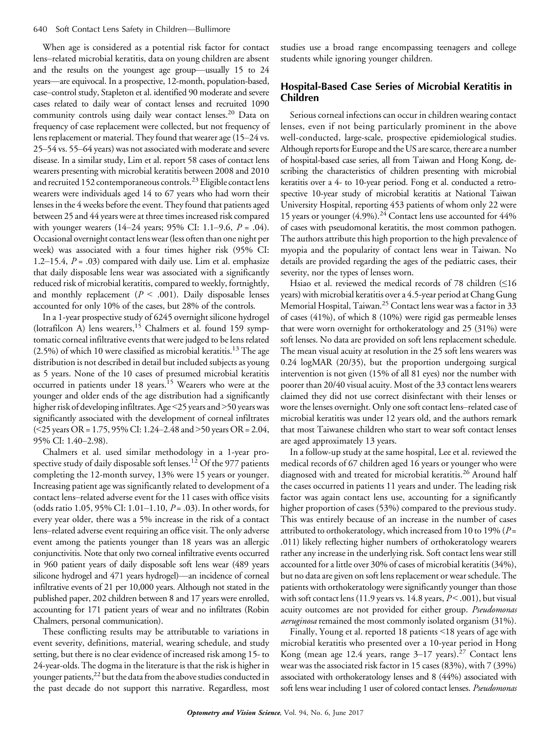When age is considered as a potential risk factor for contact lens–related microbial keratitis, data on young children are absent and the results on the youngest age group-usually  $15$  to  $24$ years—are equivocal. In a prospective, 12-month, population-based, case–control study, Stapleton et al. identified 90 moderate and severe cases related to daily wear of contact lenses and recruited 1090 community controls using daily wear contact lenses.<sup>20</sup> Data on frequency of case replacement were collected, but not frequency of lens replacement or material. They found that wearer age (15-24 vs. 25–54 vs. 55–64 years) was not associated with moderate and severe disease. In a similar study, Lim et al. report 58 cases of contact lens wearers presenting with microbial keratitis between 2008 and 2010 and recruited 152 contemporaneous controls.<sup>23</sup> Eligible contact lens wearers were individuals aged 14 to 67 years who had worn their lenses in the 4 weeks before the event. They found that patients aged between 25 and 44 years were at three times increased risk compared with younger wearers  $(14–24 \text{ years}; 95\% \text{ CI}: 1.1–9.6, P = .04)$ . Occasional overnight contact lens wear (less often than one night per week) was associated with a four times higher risk (95% CI: 1.2–15.4,  $P = .03$ ) compared with daily use. Lim et al. emphasize that daily disposable lens wear was associated with a significantly reduced risk of microbial keratitis, compared to weekly, fortnightly, and monthly replacement ( $P < .001$ ). Daily disposable lenses accounted for only 10% of the cases, but 28% of the controls.

In a 1-year prospective study of 6245 overnight silicone hydrogel (lotrafilcon A) lens wearers,<sup>15</sup> Chalmers et al. found 159 symptomatic corneal infiltrative events that were judged to be lens related  $(2.5%)$  of which 10 were classified as microbial keratitis.<sup>13</sup> The age distribution is not described in detail but included subjects as young as 5 years. None of the 10 cases of presumed microbial keratitis occurred in patients under 18 years.<sup>15</sup> Wearers who were at the younger and older ends of the age distribution had a significantly higher risk of developing infiltrates. Age <25 years and >50 years was significantly associated with the development of corneal infiltrates ( $\leq$ 25 years OR = 1.75, 95% CI: 1.24–2.48 and  $>$ 50 years OR = 2.04, 95% CI: 1.40–2.98).

Chalmers et al. used similar methodology in a 1-year prospective study of daily disposable soft lenses.<sup>12</sup> Of the 977 patients completing the 12-month survey, 13% were 15 years or younger. Increasing patient age was significantly related to development of a contact lens-related adverse event for the 11 cases with office visits (odds ratio 1.05, 95% CI: 1.01–1.10,  $P = .03$ ). In other words, for every year older, there was a 5% increase in the risk of a contact lens-related adverse event requiring an office visit. The only adverse event among the patients younger than 18 years was an allergic conjunctivitis. Note that only two corneal infiltrative events occurred in 960 patient years of daily disposable soft lens wear (489 years silicone hydrogel and 471 years hydrogel)—an incidence of corneal infiltrative events of 21 per 10,000 years. Although not stated in the published paper, 202 children between 8 and 17 years were enrolled, accounting for 171 patient years of wear and no infiltrates (Robin Chalmers, personal communication).

These conflicting results may be attributable to variations in event severity, definitions, material, wearing schedule, and study setting, but there is no clear evidence of increased risk among 15- to 24-year-olds. The dogma in the literature is that the risk is higher in younger patients,<sup>22</sup> but the data from the above studies conducted in the past decade do not support this narrative. Regardless, most

studies use a broad range encompassing teenagers and college students while ignoring younger children.

# Hospital-Based Case Series of Microbial Keratitis in Children

Serious corneal infections can occur in children wearing contact lenses, even if not being particularly prominent in the above well-conducted, large-scale, prospective epidemiological studies. Although reports for Europe and the US are scarce, there are a number of hospital-based case series, all from Taiwan and Hong Kong, describing the characteristics of children presenting with microbial keratitis over a 4- to 10-year period. Fong et al. conducted a retrospective 10-year study of microbial keratitis at National Taiwan University Hospital, reporting 453 patients of whom only 22 were 15 years or younger (4.9%).<sup>24</sup> Contact lens use accounted for 44% of cases with pseudomonal keratitis, the most common pathogen. The authors attribute this high proportion to the high prevalence of myopia and the popularity of contact lens wear in Taiwan. No details are provided regarding the ages of the pediatric cases, their severity, nor the types of lenses worn.

Hsiao et al. reviewed the medical records of 78 children  $(≤16)$ years) with microbial keratitis over a 4.5-year period at Chang Gung Memorial Hospital, Taiwan.<sup>25</sup> Contact lens wear was a factor in 33 of cases (41%), of which 8 (10%) were rigid gas permeable lenses that were worn overnight for orthokeratology and 25 (31%) were soft lenses. No data are provided on soft lens replacement schedule. The mean visual acuity at resolution in the 25 soft lens wearers was 0.24 logMAR (20/35), but the proportion undergoing surgical intervention is not given (15% of all 81 eyes) nor the number with poorer than 20/40 visual acuity. Most of the 33 contact lens wearers claimed they did not use correct disinfectant with their lenses or wore the lenses overnight. Only one soft contact lens-related case of microbial keratitis was under 12 years old, and the authors remark that most Taiwanese children who start to wear soft contact lenses are aged approximately 13 years.

In a follow-up study at the same hospital, Lee et al. reviewed the medical records of 67 children aged 16 years or younger who were diagnosed with and treated for microbial keratitis.<sup>26</sup> Around half the cases occurred in patients 11 years and under. The leading risk factor was again contact lens use, accounting for a significantly higher proportion of cases (53%) compared to the previous study. This was entirely because of an increase in the number of cases attributed to orthokeratology, which increased from 10 to 19% ( $P =$ .011) likely reflecting higher numbers of orthokeratology wearers rather any increase in the underlying risk. Soft contact lens wear still accounted for a little over 30% of cases of microbial keratitis (34%), but no data are given on soft lens replacement or wear schedule. The patients with orthokeratology were significantly younger than those with soft contact lens (11.9 years vs. 14.8 years,  $P < .001$ ), but visual acuity outcomes are not provided for either group. Pseudomonas aeruginosa remained the most commonly isolated organism (31%).

Finally, Young et al. reported 18 patients <18 years of age with microbial keratitis who presented over a 10-year period in Hong Kong (mean age 12.4 years, range  $3-17$  years).<sup>27</sup> Contact lens wear was the associated risk factor in 15 cases (83%), with 7 (39%) associated with orthokeratology lenses and 8 (44%) associated with soft lens wear including 1 user of colored contact lenses. Pseudomonas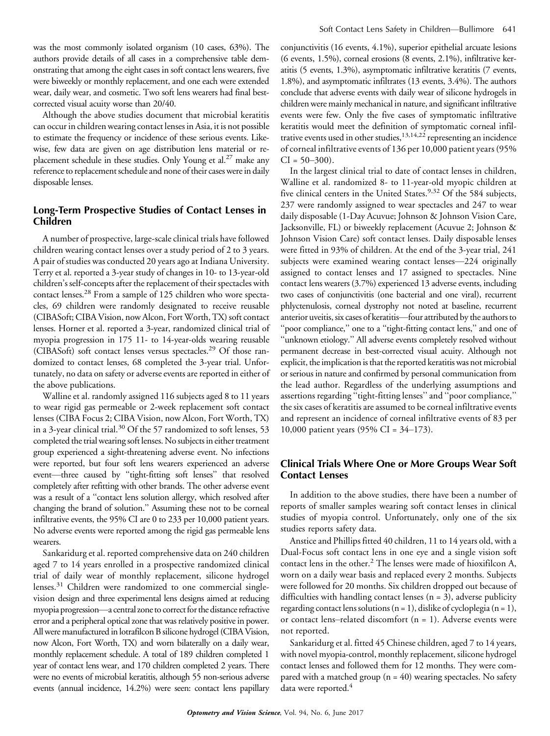was the most commonly isolated organism (10 cases, 63%). The authors provide details of all cases in a comprehensive table demonstrating that among the eight cases in soft contact lens wearers, five were biweekly or monthly replacement, and one each were extended wear, daily wear, and cosmetic. Two soft lens wearers had final bestcorrected visual acuity worse than 20/40.

Although the above studies document that microbial keratitis can occur in children wearing contact lenses in Asia, it is not possible to estimate the frequency or incidence of these serious events. Likewise, few data are given on age distribution lens material or replacement schedule in these studies. Only Young et al.<sup>27</sup> make any reference to replacement schedule and none of their cases were in daily disposable lenses.

# Long-Term Prospective Studies of Contact Lenses in Children

A number of prospective, large-scale clinical trials have followed children wearing contact lenses over a study period of 2 to 3 years. A pair of studies was conducted 20 years ago at Indiana University. Terry et al. reported a 3-year study of changes in 10- to 13-year-old children's self-concepts after the replacement of their spectacles with contact lenses.<sup>28</sup> From a sample of 125 children who wore spectacles, 69 children were randomly designated to receive reusable (CIBASoft; CIBA Vision, now Alcon, Fort Worth, TX) soft contact lenses. Horner et al. reported a 3-year, randomized clinical trial of myopia progression in 175 11- to 14-year-olds wearing reusable (CIBASoft) soft contact lenses versus spectacles.<sup>29</sup> Of those randomized to contact lenses, 68 completed the 3-year trial. Unfortunately, no data on safety or adverse events are reported in either of the above publications.

Walline et al. randomly assigned 116 subjects aged 8 to 11 years to wear rigid gas permeable or 2-week replacement soft contact lenses (CIBA Focus 2; CIBA Vision, now Alcon, Fort Worth, TX) in a 3-year clinical trial.<sup>30</sup> Of the 57 randomized to soft lenses, 53 completed the trial wearing soft lenses. No subjects in either treatment group experienced a sight-threatening adverse event. No infections were reported, but four soft lens wearers experienced an adverse event-three caused by "tight-fitting soft lenses" that resolved completely after refitting with other brands. The other adverse event was a result of a ''contact lens solution allergy, which resolved after changing the brand of solution.'' Assuming these not to be corneal infiltrative events, the 95% CI are 0 to 233 per 10,000 patient years. No adverse events were reported among the rigid gas permeable lens wearers.

Sankaridurg et al. reported comprehensive data on 240 children aged 7 to 14 years enrolled in a prospective randomized clinical trial of daily wear of monthly replacement, silicone hydrogel lenses.<sup>31</sup> Children were randomized to one commercial singlevision design and three experimental lens designs aimed at reducing myopia progression-a central zone to correct for the distance refractive error and a peripheral optical zone that was relatively positive in power. All were manufactured in lotrafilcon B silicone hydrogel (CIBA Vision, now Alcon, Fort Worth, TX) and worn bilaterally on a daily wear, monthly replacement schedule. A total of 189 children completed 1 year of contact lens wear, and 170 children completed 2 years. There were no events of microbial keratitis, although 55 non-serious adverse events (annual incidence, 14.2%) were seen: contact lens papillary

conjunctivitis (16 events, 4.1%), superior epithelial arcuate lesions (6 events, 1.5%), corneal erosions (8 events, 2.1%), infiltrative keratitis (5 events, 1.3%), asymptomatic infiltrative keratitis (7 events, 1.8%), and asymptomatic infiltrates (13 events, 3.4%). The authors conclude that adverse events with daily wear of silicone hydrogels in children were mainly mechanical in nature, and significant infiltrative events were few. Only the five cases of symptomatic infiltrative keratitis would meet the definition of symptomatic corneal infiltrative events used in other studies,13,14,22 representing an incidence of corneal infiltrative events of 136 per 10,000 patient years (95%  $CI = 50 - 300$ .

In the largest clinical trial to date of contact lenses in children, Walline et al. randomized 8- to 11-year-old myopic children at five clinical centers in the United States.<sup>9,32</sup> Of the 584 subjects, 237 were randomly assigned to wear spectacles and 247 to wear daily disposable (1-Day Acuvue; Johnson & Johnson Vision Care, Jacksonville, FL) or biweekly replacement (Acuvue 2; Johnson & Johnson Vision Care) soft contact lenses. Daily disposable lenses were fitted in 93% of children. At the end of the 3-year trial, 241 subjects were examined wearing contact lenses—224 originally assigned to contact lenses and 17 assigned to spectacles. Nine contact lens wearers (3.7%) experienced 13 adverse events, including two cases of conjunctivitis (one bacterial and one viral), recurrent phlyctenulosis, corneal dystrophy not noted at baseline, recurrent anterior uveitis, six cases of keratitis-four attributed by the authors to ''poor compliance,'' one to a ''tight-fitting contact lens,'' and one of ''unknown etiology.'' All adverse events completely resolved without permanent decrease in best-corrected visual acuity. Although not explicit, the implication is that the reported keratitis was not microbial or serious in nature and confirmed by personal communication from the lead author. Regardless of the underlying assumptions and assertions regarding ''tight-fitting lenses'' and ''poor compliance,'' the six cases of keratitis are assumed to be corneal infiltrative events and represent an incidence of corneal infiltrative events of 83 per 10,000 patient years (95% CI =  $34-173$ ).

# Clinical Trials Where One or More Groups Wear Soft Contact Lenses

In addition to the above studies, there have been a number of reports of smaller samples wearing soft contact lenses in clinical studies of myopia control. Unfortunately, only one of the six studies reports safety data.

Anstice and Phillips fitted 40 children, 11 to 14 years old, with a Dual-Focus soft contact lens in one eye and a single vision soft contact lens in the other.<sup>2</sup> The lenses were made of hioxifilcon A, worn on a daily wear basis and replaced every 2 months. Subjects were followed for 20 months. Six children dropped out because of difficulties with handling contact lenses  $(n = 3)$ , adverse publicity regarding contact lens solutions ( $n = 1$ ), dislike of cycloplegia ( $n = 1$ ), or contact lens-related discomfort ( $n = 1$ ). Adverse events were not reported.

Sankaridurg et al. fitted 45 Chinese children, aged 7 to 14 years, with novel myopia-control, monthly replacement, silicone hydrogel contact lenses and followed them for 12 months. They were compared with a matched group  $(n = 40)$  wearing spectacles. No safety data were reported.<sup>4</sup>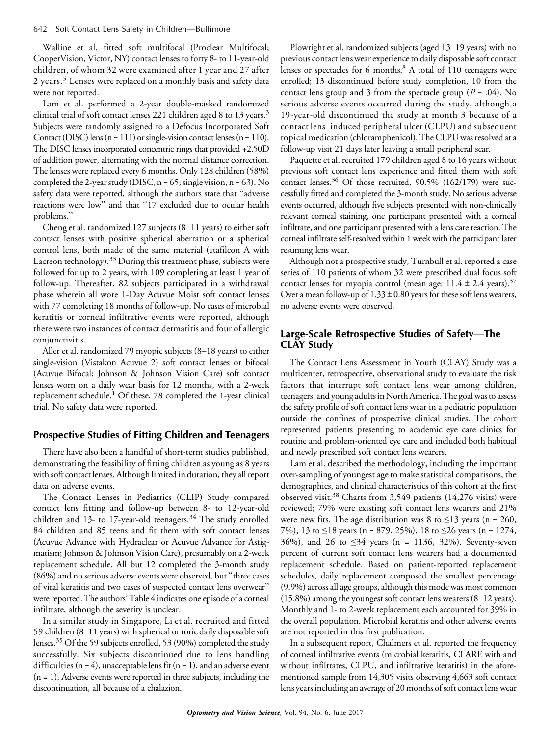#### 642 Soft Contact Lens Safety in Children-Bullimore

Walline et al. fitted soft multifocal (Proclear Multifocal; CooperVision, Victor, NY) contact lenses to forty 8- to 11-year-old children, of whom 32 were examined after 1 year and 27 after 2 years.<sup>5</sup> Lenses were replaced on a monthly basis and safety data were not reported.

Lam et al. performed a 2-year double-masked randomized clinical trial of soft contact lenses 221 children aged 8 to 13 years.<sup>3</sup> Subjects were randomly assigned to a Defocus Incorporated Soft Contact (DISC) lens  $(n = 111)$  or single-vision contact lenses  $(n = 110)$ . The DISC lenses incorporated concentric rings that provided +2.50D of addition power, alternating with the normal distance correction. The lenses were replaced every 6 months. Only 128 children (58%) completed the 2-year study (DISC,  $n = 65$ ; single vision,  $n = 63$ ). No safety data were reported, although the authors state that ''adverse reactions were low'' and that ''17 excluded due to ocular health problems.''

Cheng et al. randomized  $127$  subjects  $(8-11)$  years) to either soft contact lenses with positive spherical aberration or a spherical control lens, both made of the same material (etafilcon A with Lacreon technology).<sup>33</sup> During this treatment phase, subjects were followed for up to 2 years, with 109 completing at least 1 year of follow-up. Thereafter, 82 subjects participated in a withdrawal phase wherein all wore 1-Day Acuvue Moist soft contact lenses with 77 completing 18 months of follow-up. No cases of microbial keratitis or corneal infiltrative events were reported, although there were two instances of contact dermatitis and four of allergic conjunctivitis.

Aller et al. randomized 79 myopic subjects  $(8-18 \text{ years})$  to either single-vision (Vistakon Acuvue 2) soft contact lenses or bifocal (Acuvue Bifocal; Johnson & Johnson Vision Care) soft contact lenses worn on a daily wear basis for 12 months, with a 2-week replacement schedule.<sup>1</sup> Of these, 78 completed the 1-year clinical trial. No safety data were reported.

## Prospective Studies of Fitting Children and Teenagers

There have also been a handful of short-term studies published, demonstrating the feasibility of fitting children as young as 8 years with soft contact lenses. Although limited in duration, they all report data on adverse events.

The Contact Lenses in Pediatrics (CLIP) Study compared contact lens fitting and follow-up between 8- to 12-year-old children and 13- to 17-year-old teenagers.<sup>34</sup> The study enrolled 84 children and 85 teens and fit them with soft contact lenses (Acuvue Advance with Hydraclear or Acuvue Advance for Astigmatism; Johnson & Johnson Vision Care), presumably on a 2-week replacement schedule. All but 12 completed the 3-month study (86%) and no serious adverse events were observed, but ''three cases of viral keratitis and two cases of suspected contact lens overwear'' were reported. The authors' Table 4 indicates one episode of a corneal infiltrate, although the severity is unclear.

In a similar study in Singapore, Li et al. recruited and fitted 59 children (8-11 years) with spherical or toric daily disposable soft lenses.35 Of the 59 subjects enrolled, 53 (90%) completed the study successfully. Six subjects discontinued due to lens handling difficulties ( $n = 4$ ), unacceptable lens fit ( $n = 1$ ), and an adverse event  $(n = 1)$ . Adverse events were reported in three subjects, including the discontinuation, all because of a chalazion.

Plowright et al. randomized subjects (aged 13-19 years) with no previous contact lens wear experience to daily disposable soft contact lenses or spectacles for 6 months.<sup>8</sup> A total of 110 teenagers were enrolled; 13 discontinued before study completion, 10 from the contact lens group and 3 from the spectacle group ( $P = .04$ ). No serious adverse events occurred during the study, although a 19-year-old discontinued the study at month 3 because of a contact lens-induced peripheral ulcer (CLPU) and subsequent topical medication (chloramphenicol). The CLPU was resolved at a follow-up visit 21 days later leaving a small peripheral scar.

Paquette et al. recruited 179 children aged 8 to 16 years without previous soft contact lens experience and fitted them with soft contact lenses.<sup>36</sup> Of those recruited, 90.5% (162/179) were successfully fitted and completed the 3-month study. No serious adverse events occurred, although five subjects presented with non-clinically relevant corneal staining, one participant presented with a corneal infiltrate, and one participant presented with a lens care reaction. The corneal infiltrate self-resolved within 1 week with the participant later resuming lens wear.

Although not a prospective study, Turnbull et al. reported a case series of 110 patients of whom 32 were prescribed dual focus soft contact lenses for myopia control (mean age:  $11.4 \pm 2.4$  years).<sup>37</sup> Over a mean follow-up of  $1.33 \pm 0.80$  years for these soft lens wearers, no adverse events were observed.

# Large-Scale Retrospective Studies of Safety—The CLAY Study

The Contact Lens Assessment in Youth (CLAY) Study was a multicenter, retrospective, observational study to evaluate the risk factors that interrupt soft contact lens wear among children, teenagers, and young adults in North America. The goal was to assess the safety profile of soft contact lens wear in a pediatric population outside the confines of prospective clinical studies. The cohort represented patients presenting to academic eye care clinics for routine and problem-oriented eye care and included both habitual and newly prescribed soft contact lens wearers.

Lam et al. described the methodology, including the important over-sampling of youngest age to make statistical comparisons, the demographics, and clinical characteristics of this cohort at the first observed visit.<sup>38</sup> Charts from 3,549 patients (14,276 visits) were reviewed; 79% were existing soft contact lens wearers and 21% were new fits. The age distribution was 8 to  $\leq$ 13 years (n = 260, 7%), 13 to  $\leq$ 18 years (n = 879, 25%), 18 to  $\leq$ 26 years (n = 1274, 36%), and 26 to  $\leq$ 34 years (n = 1136, 32%). Seventy-seven percent of current soft contact lens wearers had a documented replacement schedule. Based on patient-reported replacement schedules, daily replacement composed the smallest percentage (9.9%) across all age groups, although this mode was most common  $(15.8\%)$  among the youngest soft contact lens wearers  $(8-12 \text{ years})$ . Monthly and 1- to 2-week replacement each accounted for 39% in the overall population. Microbial keratitis and other adverse events are not reported in this first publication.

In a subsequent report, Chalmers et al. reported the frequency of corneal infiltrative events (microbial keratitis, CLARE with and without infiltrates, CLPU, and infiltrative keratitis) in the aforementioned sample from 14,305 visits observing 4,663 soft contact lens years including an average of 20 months of soft contact lens wear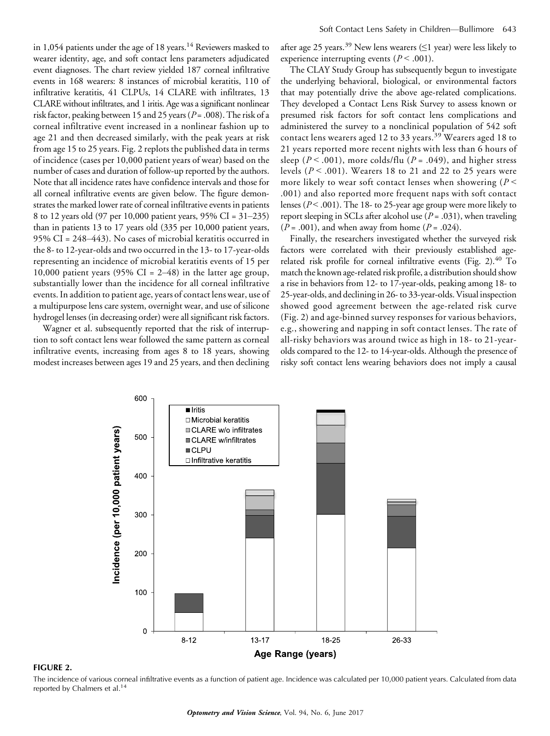in 1,054 patients under the age of 18 years.<sup>14</sup> Reviewers masked to wearer identity, age, and soft contact lens parameters adjudicated event diagnoses. The chart review yielded 187 corneal infiltrative events in 168 wearers: 8 instances of microbial keratitis, 110 of infiltrative keratitis, 41 CLPUs, 14 CLARE with infiltrates, 13 CLARE without infiltrates, and 1 iritis. Age was a significant nonlinear risk factor, peaking between 15 and 25 years ( $P = .008$ ). The risk of a corneal infiltrative event increased in a nonlinear fashion up to age 21 and then decreased similarly, with the peak years at risk from age 15 to 25 years. Fig. 2 replots the published data in terms of incidence (cases per 10,000 patient years of wear) based on the number of cases and duration of follow-up reported by the authors. Note that all incidence rates have confidence intervals and those for all corneal infiltrative events are given below. The figure demonstrates the marked lower rate of corneal infiltrative events in patients 8 to 12 years old (97 per 10,000 patient years, 95% CI = 31-235) than in patients 13 to 17 years old (335 per 10,000 patient years, 95% CI =  $248-443$ ). No cases of microbial keratitis occurred in the 8- to 12-year-olds and two occurred in the 13- to 17-year-olds representing an incidence of microbial keratitis events of 15 per 10,000 patient years (95% CI =  $2-48$ ) in the latter age group, substantially lower than the incidence for all corneal infiltrative events. In addition to patient age, years of contact lens wear, use of a multipurpose lens care system, overnight wear, and use of silicone hydrogel lenses (in decreasing order) were all significant risk factors.

Wagner et al. subsequently reported that the risk of interruption to soft contact lens wear followed the same pattern as corneal infiltrative events, increasing from ages 8 to 18 years, showing modest increases between ages 19 and 25 years, and then declining after age 25 years.<sup>39</sup> New lens wearers ( $\leq$ 1 year) were less likely to experience interrupting events ( $P < .001$ ).

The CLAY Study Group has subsequently begun to investigate the underlying behavioral, biological, or environmental factors that may potentially drive the above age-related complications. They developed a Contact Lens Risk Survey to assess known or presumed risk factors for soft contact lens complications and administered the survey to a nonclinical population of 542 soft contact lens wearers aged 12 to 33 years.<sup>39</sup> Wearers aged 18 to 21 years reported more recent nights with less than 6 hours of sleep ( $P < .001$ ), more colds/flu ( $P = .049$ ), and higher stress levels ( $P < .001$ ). Wearers 18 to 21 and 22 to 25 years were more likely to wear soft contact lenses when showering ( $P \leq$ .001) and also reported more frequent naps with soft contact lenses ( $P < .001$ ). The 18- to 25-year age group were more likely to report sleeping in SCLs after alcohol use  $(P = .031)$ , when traveling  $(P = .001)$ , and when away from home  $(P = .024)$ .

Finally, the researchers investigated whether the surveyed risk factors were correlated with their previously established agerelated risk profile for corneal infiltrative events (Fig. 2). $40$  To match the known age-related risk profile, a distribution should show a rise in behaviors from 12- to 17-year-olds, peaking among 18- to 25-year-olds, and declining in 26- to 33-year-olds. Visual inspection showed good agreement between the age-related risk curve (Fig. 2) and age-binned survey responses for various behaviors, e.g., showering and napping in soft contact lenses. The rate of all-risky behaviors was around twice as high in 18- to 21-yearolds compared to the 12- to 14-year-olds. Although the presence of risky soft contact lens wearing behaviors does not imply a causal



#### FIGURE 2.

The incidence of various corneal infiltrative events as a function of patient age. Incidence was calculated per 10,000 patient years. Calculated from data reported by Chalmers et al.<sup>14</sup>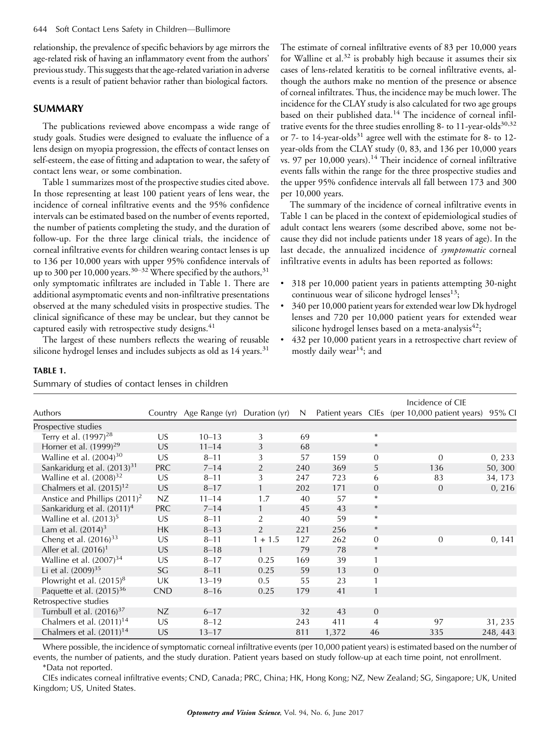relationship, the prevalence of specific behaviors by age mirrors the age-related risk of having an inflammatory event from the authors' previous study. This suggests that the age-related variation in adverse events is a result of patient behavior rather than biological factors.

# SUMMARY

The publications reviewed above encompass a wide range of study goals. Studies were designed to evaluate the influence of a lens design on myopia progression, the effects of contact lenses on self-esteem, the ease of fitting and adaptation to wear, the safety of contact lens wear, or some combination.

Table 1 summarizes most of the prospective studies cited above. In those representing at least 100 patient years of lens wear, the incidence of corneal infiltrative events and the 95% confidence intervals can be estimated based on the number of events reported, the number of patients completing the study, and the duration of follow-up. For the three large clinical trials, the incidence of corneal infiltrative events for children wearing contact lenses is up to 136 per 10,000 years with upper 95% confidence intervals of up to 300 per 10,000 years.<sup>30-32</sup> Where specified by the authors,<sup>31</sup> only symptomatic infiltrates are included in Table 1. There are additional asymptomatic events and non-infiltrative presentations observed at the many scheduled visits in prospective studies. The clinical significance of these may be unclear, but they cannot be captured easily with retrospective study designs.<sup>41</sup>

The largest of these numbers reflects the wearing of reusable silicone hydrogel lenses and includes subjects as old as  $14$  years.<sup>31</sup>

The estimate of corneal infiltrative events of 83 per 10,000 years for Walline et al.<sup>32</sup> is probably high because it assumes their six cases of lens-related keratitis to be corneal infiltrative events, although the authors make no mention of the presence or absence of corneal infiltrates. Thus, the incidence may be much lower. The incidence for the CLAY study is also calculated for two age groups based on their published data.<sup>14</sup> The incidence of corneal infiltrative events for the three studies enrolling 8- to  $11$ -year-olds<sup>30,32</sup> or 7- to 14-year-olds<sup>31</sup> agree well with the estimate for 8- to 12year-olds from the CLAY study (0, 83, and 136 per 10,000 years vs. 97 per  $10,000$  years).<sup>14</sup> Their incidence of corneal infiltrative events falls within the range for the three prospective studies and the upper 95% confidence intervals all fall between 173 and 300 per 10,000 years.

The summary of the incidence of corneal infiltrative events in Table 1 can be placed in the context of epidemiological studies of adult contact lens wearers (some described above, some not because they did not include patients under 18 years of age). In the last decade, the annualized incidence of symptomatic corneal infiltrative events in adults has been reported as follows:

- & 318 per 10,000 patient years in patients attempting 30-night continuous wear of silicone hydrogel lenses $^{13}$ ;
- & 340 per 10,000 patient years for extended wear low Dk hydrogel lenses and 720 per 10,000 patient years for extended wear silicone hydrogel lenses based on a meta-analysis $42$ ;
- & 432 per 10,000 patient years in a retrospective chart review of mostly daily wear<sup>14</sup>; and

#### TABLE 1.

Summary of studies of contact lenses in children

|                                        |            |                        |                |     |       |                | Incidence of CIE                              |          |  |
|----------------------------------------|------------|------------------------|----------------|-----|-------|----------------|-----------------------------------------------|----------|--|
| Authors                                |            | Country Age Range (yr) | Duration (yr)  | N   |       |                | Patient years CIEs (per 10,000 patient years) | 95% CI   |  |
| Prospective studies                    |            |                        |                |     |       |                |                                               |          |  |
| Terry et al. $(1997)^{28}$             | US         | $10 - 13$              | 3              | 69  |       | $\ast$         |                                               |          |  |
| Horner et al. $(1999)^{29}$            | US         | $11 - 14$              | 3              | 68  |       | $\ast$         |                                               |          |  |
| Walline et al. $(2004)^{30}$           | US.        | $8 - 11$               | 3              | 57  | 159   | $\mathbf{0}$   | $\overline{0}$                                | 0, 233   |  |
| Sankaridurg et al. $(2013)^{31}$       | <b>PRC</b> | $7 - 14$               | $\overline{2}$ | 240 | 369   | 5              | 136                                           | 50, 300  |  |
| Walline et al. $(2008)^{32}$           | US.        | $8 - 11$               | 3              | 247 | 723   | 6              | 83                                            | 34, 173  |  |
| Chalmers et al. (2015) <sup>12</sup>   | <b>US</b>  | $8 - 17$               | $\mathbf{1}$   | 202 | 171   | $\theta$       | $\Omega$                                      | 0, 216   |  |
| Anstice and Phillips $(2011)^2$        | NZ         | $11 - 14$              | 1.7            | 40  | 57    | $\ast$         |                                               |          |  |
| Sankaridurg et al. (2011) <sup>4</sup> | <b>PRC</b> | $7 - 14$               | $\mathbf{1}$   | 45  | 43    | $\ast$         |                                               |          |  |
| Walline et al. $(2013)^5$              | US         | $8 - 11$               | $\overline{2}$ | 40  | 59    | $\ast$         |                                               |          |  |
| Lam et al. $(2014)^3$                  | НK         | $8 - 13$               | $\overline{2}$ | 221 | 256   | $\ast$         |                                               |          |  |
| Cheng et al. $(2016)^{33}$             | US         | $8 - 11$               | $1 + 1.5$      | 127 | 262   | $\mathbf{0}$   | $\overline{0}$                                | 0, 141   |  |
| Aller et al. $(2016)^1$                | <b>US</b>  | $8 - 18$               | $\mathbf{1}$   | 79  | 78    | $\ast$         |                                               |          |  |
| Walline et al. $(2007)^{34}$           | US         | $8 - 17$               | 0.25           | 169 | 39    | 1              |                                               |          |  |
| Li et al. $(2009)^{35}$                | SG         | $8 - 11$               | 0.25           | 59  | 13    | $\mathbf{0}$   |                                               |          |  |
| Plowright et al. $(2015)^8$            | UK         | $13 - 19$              | 0.5            | 55  | 23    | 1              |                                               |          |  |
| Paquette et al. $(2015)^{36}$          | <b>CND</b> | $8 - 16$               | 0.25           | 179 | 41    | $\mathbf{1}$   |                                               |          |  |
| Retrospective studies                  |            |                        |                |     |       |                |                                               |          |  |
| Turnbull et al. $(2016)^{37}$          | NZ         | $6 - 17$               |                | 32  | 43    | $\overline{0}$ |                                               |          |  |
| Chalmers et al. $(2011)^{14}$          | US         | $8 - 12$               |                | 243 | 411   | 4              | 97                                            | 31, 235  |  |
| Chalmers et al. $(2011)^{14}$          | <b>US</b>  | $13 - 17$              |                | 811 | 1,372 | 46             | 335                                           | 248, 443 |  |

Where possible, the incidence of symptomatic corneal infiltrative events (per 10,000 patient years) is estimated based on the number of events, the number of patients, and the study duration. Patient years based on study follow-up at each time point, not enrollment.

\*Data not reported.

CIEs indicates corneal infiltrative events; CND, Canada; PRC, China; HK, Hong Kong; NZ, New Zealand; SG, Singapore; UK, United Kingdom; US, United States.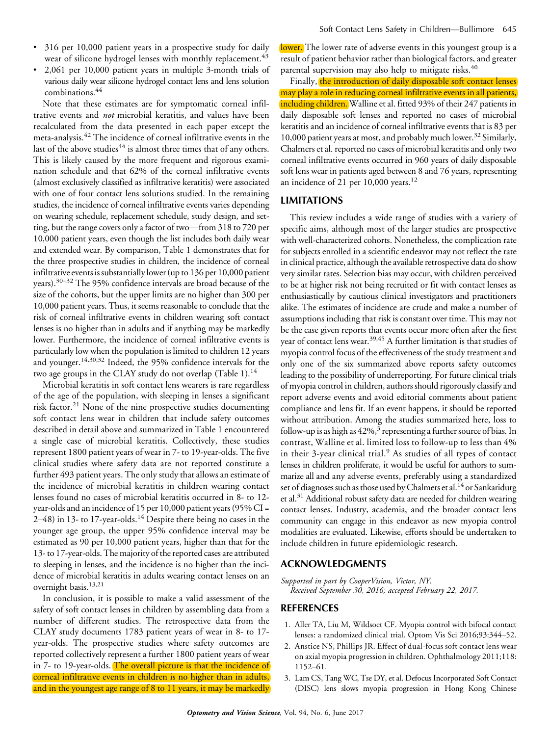- & 316 per 10,000 patient years in a prospective study for daily wear of silicone hydrogel lenses with monthly replacement.<sup>43</sup>
- & 2,061 per 10,000 patient years in multiple 3-month trials of various daily wear silicone hydrogel contact lens and lens solution combinations.44

Note that these estimates are for symptomatic corneal infiltrative events and *not* microbial keratitis, and values have been recalculated from the data presented in each paper except the meta-analysis.<sup>42</sup> The incidence of corneal infiltrative events in the last of the above studies<sup>44</sup> is almost three times that of any others. This is likely caused by the more frequent and rigorous examination schedule and that 62% of the corneal infiltrative events (almost exclusively classified as infiltrative keratitis) were associated with one of four contact lens solutions studied. In the remaining studies, the incidence of corneal infiltrative events varies depending on wearing schedule, replacement schedule, study design, and setting, but the range covers only a factor of two—from  $318$  to  $720$  per 10,000 patient years, even though the list includes both daily wear and extended wear. By comparison, Table 1 demonstrates that for the three prospective studies in children, the incidence of corneal infiltrative events is substantially lower (up to 136 per 10,000 patient years).<sup>30-32</sup> The 95% confidence intervals are broad because of the size of the cohorts, but the upper limits are no higher than 300 per 10,000 patient years. Thus, it seems reasonable to conclude that the risk of corneal infiltrative events in children wearing soft contact lenses is no higher than in adults and if anything may be markedly lower. Furthermore, the incidence of corneal infiltrative events is particularly low when the population is limited to children 12 years and younger.14,30,32 Indeed, the 95% confidence intervals for the two age groups in the CLAY study do not overlap (Table 1).<sup>14</sup>

Microbial keratitis in soft contact lens wearers is rare regardless of the age of the population, with sleeping in lenses a significant risk factor.<sup>21</sup> None of the nine prospective studies documenting soft contact lens wear in children that include safety outcomes described in detail above and summarized in Table 1 encountered a single case of microbial keratitis. Collectively, these studies represent 1800 patient years of wear in 7- to 19-year-olds. The five clinical studies where safety data are not reported constitute a further 493 patient years. The only study that allows an estimate of the incidence of microbial keratitis in children wearing contact lenses found no cases of microbial keratitis occurred in 8- to 12 year-olds and an incidence of 15 per 10,000 patient years (95% CI =  $2-48$ ) in 13- to 17-year-olds.<sup>14</sup> Despite there being no cases in the younger age group, the upper 95% confidence interval may be estimated as 90 per 10,000 patient years, higher than that for the 13- to 17-year-olds. The majority of the reported cases are attributed to sleeping in lenses, and the incidence is no higher than the incidence of microbial keratitis in adults wearing contact lenses on an overnight basis.<sup>13,21</sup>

In conclusion, it is possible to make a valid assessment of the safety of soft contact lenses in children by assembling data from a number of different studies. The retrospective data from the CLAY study documents 1783 patient years of wear in 8- to 17 year-olds. The prospective studies where safety outcomes are reported collectively represent a further 1800 patient years of wear in 7- to 19-year-olds. The overall picture is that the incidence of corneal infiltrative events in children is no higher than in adults, and in the youngest age range of 8 to 11 years, it may be markedly lower. The lower rate of adverse events in this youngest group is a result of patient behavior rather than biological factors, and greater parental supervision may also help to mitigate risks.<sup>40</sup>

Finally, the introduction of daily disposable soft contact lenses may play a role in reducing corneal infiltrative events in all patients, including children. Walline et al. fitted 93% of their 247 patients in daily disposable soft lenses and reported no cases of microbial keratitis and an incidence of corneal infiltrative events that is 83 per 10,000 patient years at most, and probably much lower.<sup>32</sup> Similarly, Chalmers et al. reported no cases of microbial keratitis and only two corneal infiltrative events occurred in 960 years of daily disposable soft lens wear in patients aged between 8 and 76 years, representing an incidence of 21 per  $10,000$  years.<sup>12</sup>

# LIMITATIONS

This review includes a wide range of studies with a variety of specific aims, although most of the larger studies are prospective with well-characterized cohorts. Nonetheless, the complication rate for subjects enrolled in a scientific endeavor may not reflect the rate in clinical practice, although the available retrospective data do show very similar rates. Selection bias may occur, with children perceived to be at higher risk not being recruited or fit with contact lenses as enthusiastically by cautious clinical investigators and practitioners alike. The estimates of incidence are crude and make a number of assumptions including that risk is constant over time. This may not be the case given reports that events occur more often after the first year of contact lens wear.<sup>39,45</sup> A further limitation is that studies of myopia control focus of the effectiveness of the study treatment and only one of the six summarized above reports safety outcomes leading to the possibility of underreporting. For future clinical trials of myopia control in children, authors should rigorously classify and report adverse events and avoid editorial comments about patient compliance and lens fit. If an event happens, it should be reported without attribution. Among the studies summarized here, loss to follow-up is as high as  $42\%$ ,<sup>3</sup> representing a further source of bias. In contrast, Walline et al. limited loss to follow-up to less than 4% in their  $3$ -year clinical trial.<sup>9</sup> As studies of all types of contact lenses in children proliferate, it would be useful for authors to summarize all and any adverse events, preferably using a standardized set of diagnoses such as those used by Chalmers et al.<sup>14</sup> or Sankaridurg et al.<sup>31</sup> Additional robust safety data are needed for children wearing contact lenses. Industry, academia, and the broader contact lens community can engage in this endeavor as new myopia control modalities are evaluated. Likewise, efforts should be undertaken to include children in future epidemiologic research.

#### ACKNOWLEDGMENTS

Supported in part by CooperVision, Victor, NY. Received September 30, 2016; accepted February 22, 2017.

#### **REFERENCES**

- 1. Aller TA, Liu M, Wildsoet CF. Myopia control with bifocal contact lenses: a randomized clinical trial. Optom Vis Sci 2016;93:344-52.
- 2. Anstice NS, Phillips JR. Effect of dual-focus soft contact lens wear on axial myopia progression in children. Ophthalmology 2011;118: 1152-61.
- 3. Lam CS, Tang WC, Tse DY, et al. Defocus Incorporated Soft Contact (DISC) lens slows myopia progression in Hong Kong Chinese